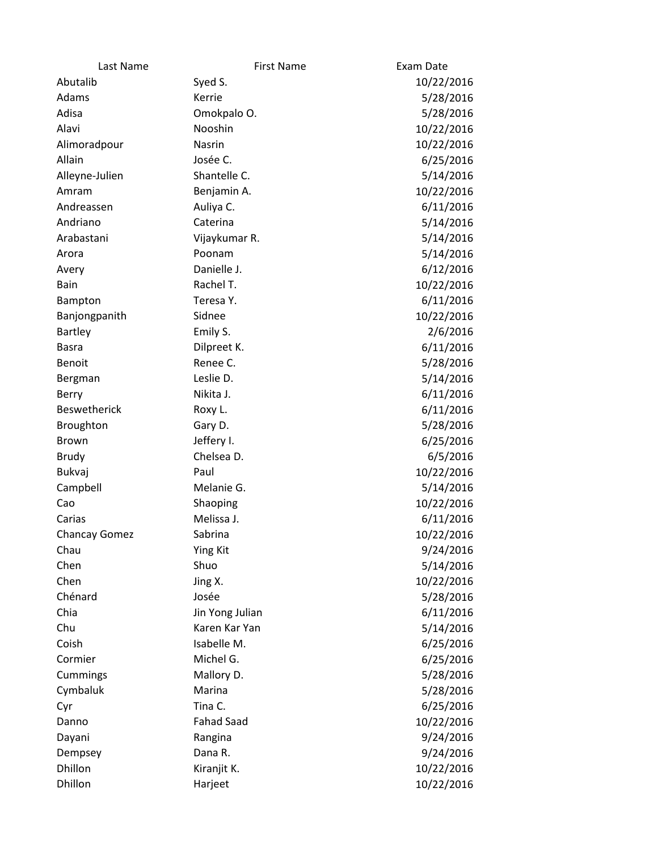| Last Name            | <b>First Name</b> | Exam Date  |
|----------------------|-------------------|------------|
| Abutalib             | Syed S.           | 10/22/2016 |
| Adams                | Kerrie            | 5/28/2016  |
| Adisa                | Omokpalo O.       | 5/28/2016  |
| Alavi                | Nooshin           | 10/22/2016 |
| Alimoradpour         | Nasrin            | 10/22/2016 |
| Allain               | Josée C.          | 6/25/2016  |
| Alleyne-Julien       | Shantelle C.      | 5/14/2016  |
| Amram                | Benjamin A.       | 10/22/2016 |
| Andreassen           | Auliya C.         | 6/11/2016  |
| Andriano             | Caterina          | 5/14/2016  |
| Arabastani           | Vijaykumar R.     | 5/14/2016  |
| Arora                | Poonam            | 5/14/2016  |
| Avery                | Danielle J.       | 6/12/2016  |
| Bain                 | Rachel T.         | 10/22/2016 |
| Bampton              | Teresa Y.         | 6/11/2016  |
| Banjongpanith        | Sidnee            | 10/22/2016 |
| Bartley              | Emily S.          | 2/6/2016   |
| <b>Basra</b>         | Dilpreet K.       | 6/11/2016  |
| Benoit               | Renee C.          | 5/28/2016  |
| Bergman              | Leslie D.         | 5/14/2016  |
| Berry                | Nikita J.         | 6/11/2016  |
| <b>Beswetherick</b>  | Roxy L.           | 6/11/2016  |
| <b>Broughton</b>     | Gary D.           | 5/28/2016  |
| Brown                | Jeffery I.        | 6/25/2016  |
| <b>Brudy</b>         | Chelsea D.        | 6/5/2016   |
| Bukvaj               | Paul              | 10/22/2016 |
| Campbell             | Melanie G.        | 5/14/2016  |
| Cao                  | Shaoping          | 10/22/2016 |
| Carias               | Melissa J.        | 6/11/2016  |
| <b>Chancay Gomez</b> | Sabrina           | 10/22/2016 |
| Chau                 | <b>Ying Kit</b>   | 9/24/2016  |
| Chen                 | Shuo              | 5/14/2016  |
| Chen                 | Jing X.           | 10/22/2016 |
| Chénard              | Josée             | 5/28/2016  |
| Chia                 | Jin Yong Julian   | 6/11/2016  |
| Chu                  | Karen Kar Yan     | 5/14/2016  |
| Coish                | Isabelle M.       | 6/25/2016  |
| Cormier              | Michel G.         | 6/25/2016  |
| Cummings             | Mallory D.        | 5/28/2016  |
| Cymbaluk             | Marina            | 5/28/2016  |
| Cyr                  | Tina C.           | 6/25/2016  |
| Danno                | <b>Fahad Saad</b> | 10/22/2016 |
| Dayani               | Rangina           | 9/24/2016  |
| Dempsey              | Dana R.           | 9/24/2016  |
| Dhillon              | Kiranjit K.       | 10/22/2016 |
| Dhillon              | Harjeet           | 10/22/2016 |
|                      |                   |            |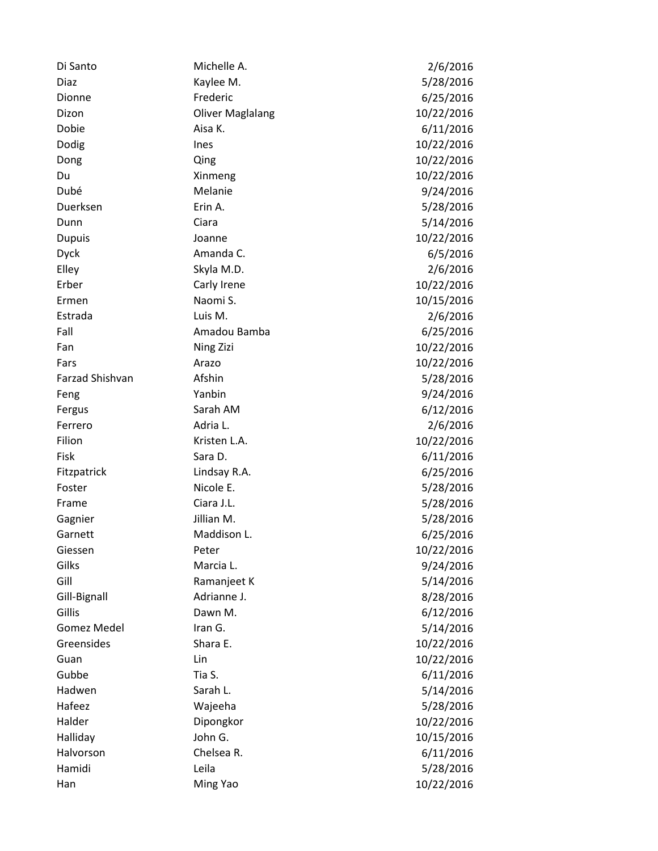| Di Santo           | Michelle A.             | 2/6/2016   |
|--------------------|-------------------------|------------|
| <b>Diaz</b>        | Kaylee M.               | 5/28/2016  |
| Dionne             | Frederic                | 6/25/2016  |
| Dizon              | <b>Oliver Maglalang</b> | 10/22/2016 |
| Dobie              | Aisa K.                 | 6/11/2016  |
| Dodig              | Ines                    | 10/22/2016 |
| Dong               | Qing                    | 10/22/2016 |
| Du                 | Xinmeng                 | 10/22/2016 |
| Dubé               | Melanie                 | 9/24/2016  |
| Duerksen           | Erin A.                 | 5/28/2016  |
| Dunn               | Ciara                   | 5/14/2016  |
| <b>Dupuis</b>      | Joanne                  | 10/22/2016 |
| <b>Dyck</b>        | Amanda C.               | 6/5/2016   |
| Elley              | Skyla M.D.              | 2/6/2016   |
| Erber              | Carly Irene             | 10/22/2016 |
| Ermen              | Naomi S.                | 10/15/2016 |
| Estrada            | Luis M.                 | 2/6/2016   |
| Fall               | Amadou Bamba            | 6/25/2016  |
| Fan                | Ning Zizi               | 10/22/2016 |
| Fars               | Arazo                   | 10/22/2016 |
| Farzad Shishvan    | Afshin                  | 5/28/2016  |
| Feng               | Yanbin                  | 9/24/2016  |
| Fergus             | Sarah AM                | 6/12/2016  |
| Ferrero            | Adria L.                | 2/6/2016   |
| Filion             | Kristen L.A.            | 10/22/2016 |
| Fisk               | Sara D.                 | 6/11/2016  |
| Fitzpatrick        | Lindsay R.A.            | 6/25/2016  |
| Foster             | Nicole E.               | 5/28/2016  |
| Frame              | Ciara J.L.              | 5/28/2016  |
| Gagnier            | Jillian M.              | 5/28/2016  |
| Garnett            | Maddison L.             | 6/25/2016  |
| Giessen            | Peter                   | 10/22/2016 |
| Gilks              | Marcia L.               | 9/24/2016  |
| Gill               | Ramanjeet K             | 5/14/2016  |
| Gill-Bignall       | Adrianne J.             | 8/28/2016  |
| Gillis             | Dawn M.                 | 6/12/2016  |
| <b>Gomez Medel</b> | Iran G.                 | 5/14/2016  |
| Greensides         | Shara E.                | 10/22/2016 |
| Guan               | Lin                     | 10/22/2016 |
| Gubbe              | Tia S.                  | 6/11/2016  |
| Hadwen             | Sarah L.                | 5/14/2016  |
| Hafeez             | Wajeeha                 | 5/28/2016  |
| Halder             | Dipongkor               | 10/22/2016 |
| Halliday           | John G.                 | 10/15/2016 |
| Halvorson          | Chelsea R.              | 6/11/2016  |
| Hamidi             | Leila                   | 5/28/2016  |
| Han                | Ming Yao                | 10/22/2016 |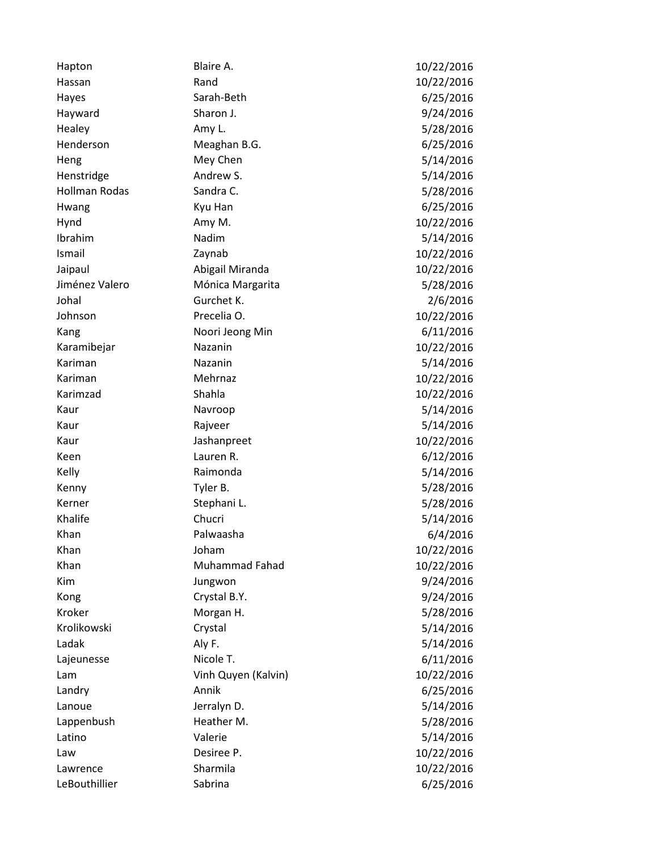| Hapton               | Blaire A.             | 10/22/2016 |
|----------------------|-----------------------|------------|
| Hassan               | Rand                  | 10/22/2016 |
| Hayes                | Sarah-Beth            | 6/25/2016  |
| Hayward              | Sharon J.             | 9/24/2016  |
| Healey               | Amy L.                | 5/28/2016  |
| Henderson            | Meaghan B.G.          | 6/25/2016  |
| Heng                 | Mey Chen              | 5/14/2016  |
| Henstridge           | Andrew S.             | 5/14/2016  |
| <b>Hollman Rodas</b> | Sandra C.             | 5/28/2016  |
| Hwang                | Kyu Han               | 6/25/2016  |
| Hynd                 | Amy M.                | 10/22/2016 |
| Ibrahim              | Nadim                 | 5/14/2016  |
| Ismail               | Zaynab                | 10/22/2016 |
| Jaipaul              | Abigail Miranda       | 10/22/2016 |
| Jiménez Valero       | Mónica Margarita      | 5/28/2016  |
| Johal                | Gurchet K.            | 2/6/2016   |
| Johnson              | Precelia O.           | 10/22/2016 |
| Kang                 | Noori Jeong Min       | 6/11/2016  |
| Karamibejar          | Nazanin               | 10/22/2016 |
| Kariman              | Nazanin               | 5/14/2016  |
| Kariman              | Mehrnaz               | 10/22/2016 |
| Karimzad             | Shahla                | 10/22/2016 |
| Kaur                 | Navroop               | 5/14/2016  |
| Kaur                 | Rajveer               | 5/14/2016  |
| Kaur                 | Jashanpreet           | 10/22/2016 |
| Keen                 | Lauren R.             | 6/12/2016  |
| Kelly                | Raimonda              | 5/14/2016  |
| Kenny                | Tyler B.              | 5/28/2016  |
| Kerner               | Stephani L.           | 5/28/2016  |
| Khalife              | Chucri                | 5/14/2016  |
| Khan                 | Palwaasha             | 6/4/2016   |
| Khan                 | Joham                 | 10/22/2016 |
| Khan                 | <b>Muhammad Fahad</b> | 10/22/2016 |
| Kim                  | Jungwon               | 9/24/2016  |
| Kong                 | Crystal B.Y.          | 9/24/2016  |
| Kroker               | Morgan H.             | 5/28/2016  |
| Krolikowski          | Crystal               | 5/14/2016  |
| Ladak                | Aly F.                | 5/14/2016  |
| Lajeunesse           | Nicole T.             | 6/11/2016  |
| Lam                  | Vinh Quyen (Kalvin)   | 10/22/2016 |
| Landry               | Annik                 | 6/25/2016  |
| Lanoue               | Jerralyn D.           | 5/14/2016  |
| Lappenbush           | Heather M.            | 5/28/2016  |
| Latino               | Valerie               | 5/14/2016  |
| Law                  | Desiree P.            | 10/22/2016 |
| Lawrence             | Sharmila              | 10/22/2016 |
| LeBouthillier        | Sabrina               | 6/25/2016  |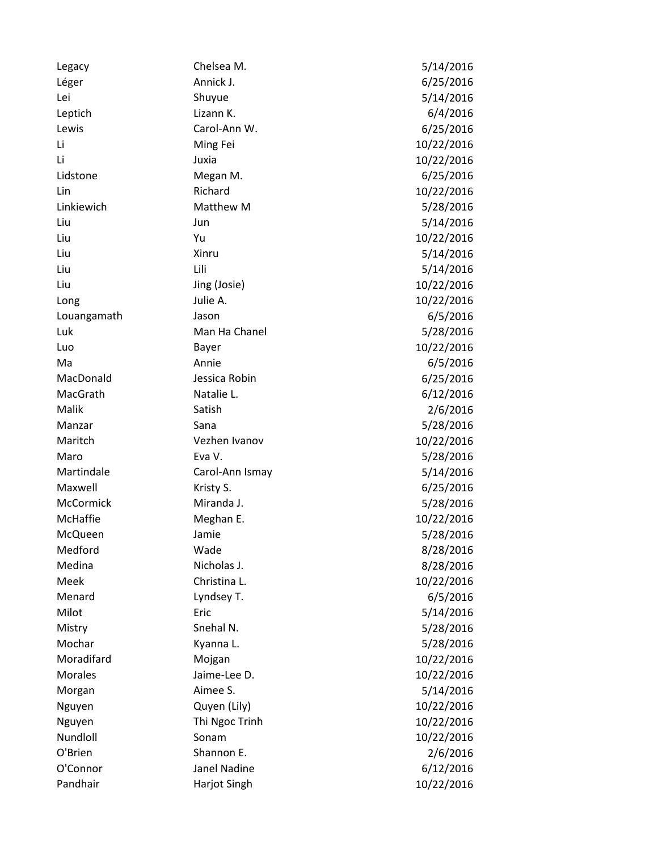| Legacy      | Chelsea M.      | 5/14/2016  |
|-------------|-----------------|------------|
| Léger       | Annick J.       | 6/25/2016  |
| Lei         | Shuyue          | 5/14/2016  |
| Leptich     | Lizann K.       | 6/4/2016   |
| Lewis       | Carol-Ann W.    | 6/25/2016  |
| Li          | Ming Fei        | 10/22/2016 |
| Li          | Juxia           | 10/22/2016 |
| Lidstone    | Megan M.        | 6/25/2016  |
| Lin         | Richard         | 10/22/2016 |
| Linkiewich  | Matthew M       | 5/28/2016  |
| Liu         | Jun             | 5/14/2016  |
| Liu         | Yu              | 10/22/2016 |
| Liu         | Xinru           | 5/14/2016  |
| Liu         | Lili            | 5/14/2016  |
| Liu         | Jing (Josie)    | 10/22/2016 |
| Long        | Julie A.        | 10/22/2016 |
| Louangamath | Jason           | 6/5/2016   |
| Luk         | Man Ha Chanel   | 5/28/2016  |
| Luo         | Bayer           | 10/22/2016 |
| Ma          | Annie           | 6/5/2016   |
| MacDonald   | Jessica Robin   | 6/25/2016  |
| MacGrath    | Natalie L.      | 6/12/2016  |
| Malik       | Satish          | 2/6/2016   |
| Manzar      | Sana            | 5/28/2016  |
| Maritch     | Vezhen Ivanov   | 10/22/2016 |
| Maro        | Eva V.          | 5/28/2016  |
| Martindale  | Carol-Ann Ismay | 5/14/2016  |
| Maxwell     | Kristy S.       | 6/25/2016  |
| McCormick   | Miranda J.      | 5/28/2016  |
| McHaffie    | Meghan E.       | 10/22/2016 |
| McQueen     | Jamie           | 5/28/2016  |
| Medford     | Wade            | 8/28/2016  |
| Medina      | Nicholas J.     | 8/28/2016  |
| Meek        | Christina L.    | 10/22/2016 |
| Menard      | Lyndsey T.      | 6/5/2016   |
| Milot       | Eric            | 5/14/2016  |
| Mistry      | Snehal N.       | 5/28/2016  |
| Mochar      | Kyanna L.       | 5/28/2016  |
| Moradifard  | Mojgan          | 10/22/2016 |
| Morales     | Jaime-Lee D.    | 10/22/2016 |
| Morgan      | Aimee S.        | 5/14/2016  |
| Nguyen      | Quyen (Lily)    | 10/22/2016 |
| Nguyen      | Thi Ngoc Trinh  | 10/22/2016 |
| Nundloll    | Sonam           | 10/22/2016 |
| O'Brien     | Shannon E.      | 2/6/2016   |
| O'Connor    | Janel Nadine    | 6/12/2016  |
| Pandhair    | Harjot Singh    | 10/22/2016 |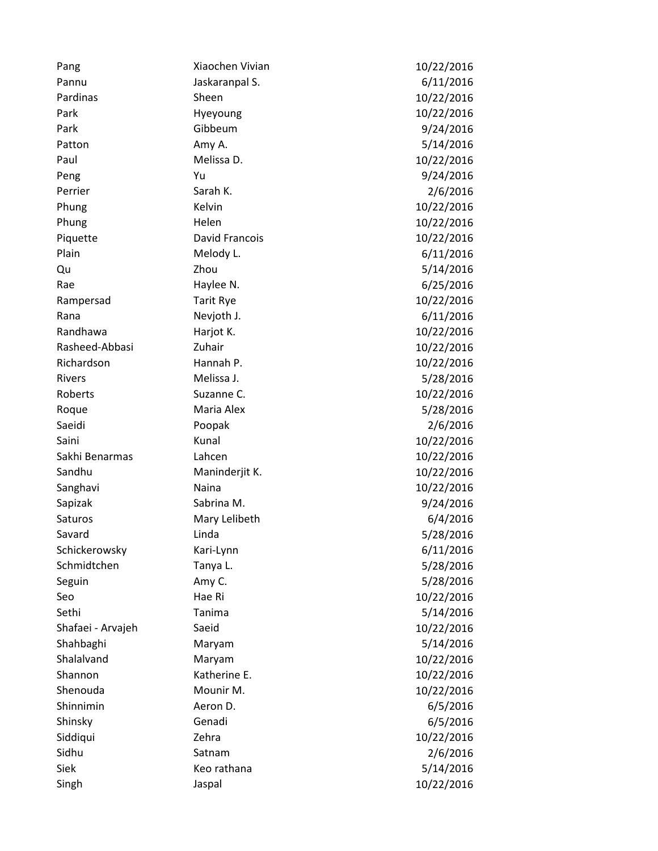| Pang              | Xiaochen Vivian  | 10/22/2016 |
|-------------------|------------------|------------|
| Pannu             | Jaskaranpal S.   | 6/11/2016  |
| Pardinas          | Sheen            | 10/22/2016 |
| Park              | Hyeyoung         | 10/22/2016 |
| Park              | Gibbeum          | 9/24/2016  |
| Patton            | Amy A.           | 5/14/2016  |
| Paul              | Melissa D.       | 10/22/2016 |
| Peng              | Yu               | 9/24/2016  |
| Perrier           | Sarah K.         | 2/6/2016   |
| Phung             | Kelvin           | 10/22/2016 |
| Phung             | Helen            | 10/22/2016 |
| Piquette          | David Francois   | 10/22/2016 |
| Plain             | Melody L.        | 6/11/2016  |
| Qu                | Zhou             | 5/14/2016  |
| Rae               | Haylee N.        | 6/25/2016  |
| Rampersad         | <b>Tarit Rye</b> | 10/22/2016 |
| Rana              | Nevjoth J.       | 6/11/2016  |
| Randhawa          | Harjot K.        | 10/22/2016 |
| Rasheed-Abbasi    | Zuhair           | 10/22/2016 |
| Richardson        | Hannah P.        | 10/22/2016 |
| Rivers            | Melissa J.       | 5/28/2016  |
| Roberts           | Suzanne C.       | 10/22/2016 |
| Roque             | Maria Alex       | 5/28/2016  |
| Saeidi            | Poopak           | 2/6/2016   |
| Saini             | Kunal            | 10/22/2016 |
| Sakhi Benarmas    | Lahcen           | 10/22/2016 |
| Sandhu            | Maninderjit K.   | 10/22/2016 |
| Sanghavi          | Naina            | 10/22/2016 |
| Sapizak           | Sabrina M.       | 9/24/2016  |
| Saturos           | Mary Lelibeth    | 6/4/2016   |
| Savard            | Linda            | 5/28/2016  |
| Schickerowsky     | Kari-Lynn        | 6/11/2016  |
| Schmidtchen       | Tanya L.         | 5/28/2016  |
| Seguin            | Amy C.           | 5/28/2016  |
| Seo               | Hae Ri           | 10/22/2016 |
| Sethi             | Tanima           | 5/14/2016  |
| Shafaei - Arvajeh | Saeid            | 10/22/2016 |
| Shahbaghi         | Maryam           | 5/14/2016  |
| Shalalvand        | Maryam           | 10/22/2016 |
| Shannon           | Katherine E.     | 10/22/2016 |
| Shenouda          | Mounir M.        | 10/22/2016 |
| Shinnimin         | Aeron D.         | 6/5/2016   |
| Shinsky           | Genadi           | 6/5/2016   |
| Siddiqui          | Zehra            | 10/22/2016 |
| Sidhu             | Satnam           | 2/6/2016   |
| Siek              | Keo rathana      | 5/14/2016  |
| Singh             | Jaspal           | 10/22/2016 |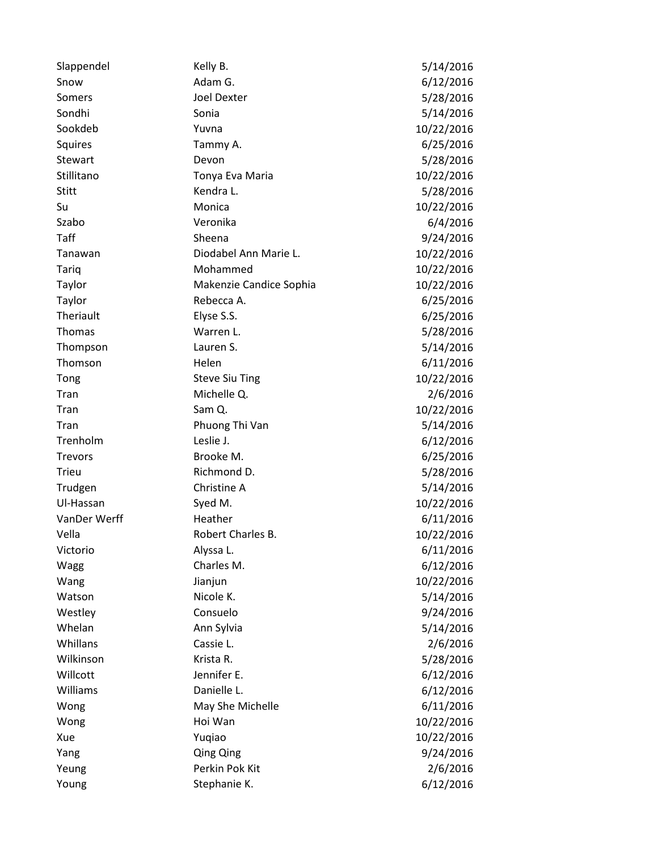| Slappendel     | Kelly B.                | 5/14/2016  |
|----------------|-------------------------|------------|
| Snow           | Adam G.                 | 6/12/2016  |
| Somers         | <b>Joel Dexter</b>      | 5/28/2016  |
| Sondhi         | Sonia                   | 5/14/2016  |
| Sookdeb        | Yuvna                   | 10/22/2016 |
| Squires        | Tammy A.                | 6/25/2016  |
| Stewart        | Devon                   | 5/28/2016  |
| Stillitano     | Tonya Eva Maria         | 10/22/2016 |
| <b>Stitt</b>   | Kendra L.               | 5/28/2016  |
| Su             | Monica                  | 10/22/2016 |
| Szabo          | Veronika                | 6/4/2016   |
| Taff           | Sheena                  | 9/24/2016  |
| Tanawan        | Diodabel Ann Marie L.   | 10/22/2016 |
| Tariq          | Mohammed                | 10/22/2016 |
| Taylor         | Makenzie Candice Sophia | 10/22/2016 |
| Taylor         | Rebecca A.              | 6/25/2016  |
| Theriault      | Elyse S.S.              | 6/25/2016  |
| Thomas         | Warren L.               | 5/28/2016  |
| Thompson       | Lauren S.               | 5/14/2016  |
| Thomson        | Helen                   | 6/11/2016  |
| Tong           | <b>Steve Siu Ting</b>   | 10/22/2016 |
| Tran           | Michelle Q.             | 2/6/2016   |
| Tran           | Sam Q.                  | 10/22/2016 |
| Tran           | Phuong Thi Van          | 5/14/2016  |
| Trenholm       | Leslie J.               | 6/12/2016  |
| <b>Trevors</b> | Brooke M.               | 6/25/2016  |
| <b>Trieu</b>   | Richmond D.             | 5/28/2016  |
| Trudgen        | Christine A             | 5/14/2016  |
| Ul-Hassan      | Syed M.                 | 10/22/2016 |
| VanDer Werff   | Heather                 | 6/11/2016  |
| Vella          | Robert Charles B.       | 10/22/2016 |
| Victorio       | Alyssa L.               | 6/11/2016  |
| Wagg           | Charles M.              | 6/12/2016  |
| Wang           | Jianjun                 | 10/22/2016 |
| Watson         | Nicole K.               | 5/14/2016  |
| Westley        | Consuelo                | 9/24/2016  |
| Whelan         | Ann Sylvia              | 5/14/2016  |
| Whillans       | Cassie L.               | 2/6/2016   |
| Wilkinson      | Krista R.               | 5/28/2016  |
| Willcott       | Jennifer E.             | 6/12/2016  |
| Williams       | Danielle L.             | 6/12/2016  |
| Wong           | May She Michelle        | 6/11/2016  |
| Wong           | Hoi Wan                 | 10/22/2016 |
| Xue            | Yuqiao                  | 10/22/2016 |
| Yang           | <b>Qing Qing</b>        | 9/24/2016  |
| Yeung          | Perkin Pok Kit          | 2/6/2016   |
| Young          | Stephanie K.            | 6/12/2016  |